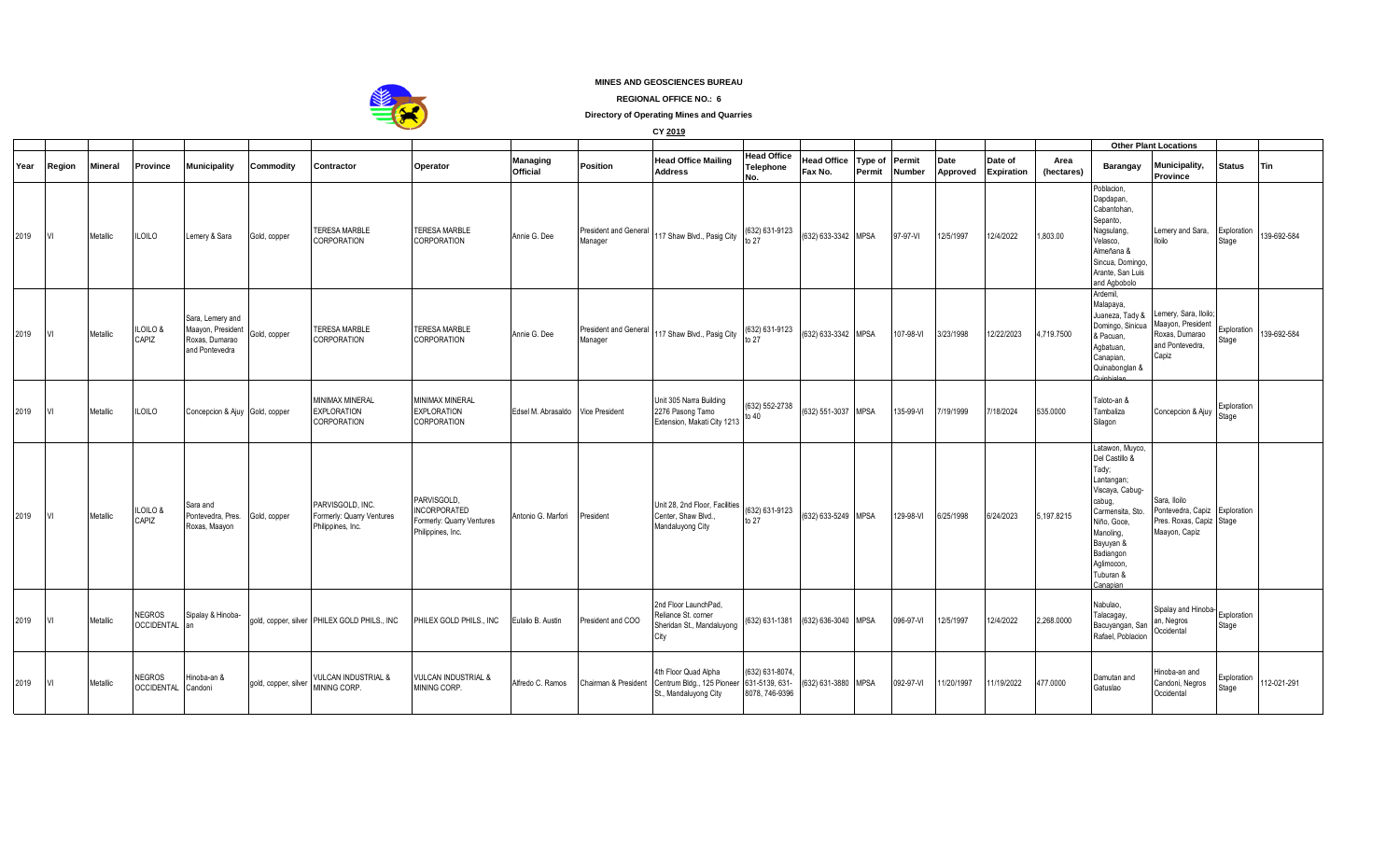

## **MINES AND GEOSCIENCES BUREAU**

**REGIONAL OFFICE NO.: 6**

**Directory of Operating Mines and Quarries**

**CY 2019**

|      |        |                |                                     |                                                                                           |                                                                    |                                                                                      |                                   |                                         |                                                                                            |                                        |                                    |                   |                         |                  |                              |                    |                                                                                                                                                                                                        | <b>Other Plant Locations</b>                                                                             |                      |             |
|------|--------|----------------|-------------------------------------|-------------------------------------------------------------------------------------------|--------------------------------------------------------------------|--------------------------------------------------------------------------------------|-----------------------------------|-----------------------------------------|--------------------------------------------------------------------------------------------|----------------------------------------|------------------------------------|-------------------|-------------------------|------------------|------------------------------|--------------------|--------------------------------------------------------------------------------------------------------------------------------------------------------------------------------------------------------|----------------------------------------------------------------------------------------------------------|----------------------|-------------|
| Year | Region | <b>Mineral</b> | Province                            | <b>Municipality</b><br>Commodity                                                          | Contractor                                                         | Operator                                                                             | <b>Managing</b><br>Official       | Position                                | <b>Head Office Mailing</b><br><b>Address</b>                                               | <b>Head Office</b><br>Telephone<br>No. | <b>Head Office</b><br>Fax No.      | Type of<br>Permit | Permit<br><b>Number</b> | Date<br>Approved | Date of<br><b>Expiration</b> | Area<br>(hectares) | Barangay                                                                                                                                                                                               | Municipality,<br>Province                                                                                | <b>Status</b>        | <b>Tin</b>  |
| 2019 | VI     | Metallic       | <b>ILOILO</b>                       | Lemery & Sara<br>Gold, copper                                                             | <b>TERESA MARBLE</b><br><b>CORPORATION</b>                         | <b>TERESA MARBLE</b><br><b>CORPORATION</b>                                           | Annie G. Dee                      | <b>President and General</b><br>Manager | 117 Shaw Blvd., Pasig City                                                                 | (632) 631-9123                         | (632) 633-3342                     | <b>MPSA</b>       | 97-97-VI                | 12/5/1997        | 12/4/2022                    | 1,803.00           | Poblacion,<br>Dapdapan,<br>Cabantohan.<br>Sepanto,<br>Nagsulang,<br>Velasco,<br>Almeñana &<br>Sincua, Domingo,<br>Arante, San Luis<br>and Agbobolo                                                     | Lemery and Sara,<br>Iloilo                                                                               | Exploration<br>Stage | 139-692-584 |
| 2019 | M      | Metallic       | <b>ILOILO &amp;</b><br>CAPIZ        | Sara, Lemery and<br>Maayon, President<br>Gold, copper<br>Roxas, Dumarao<br>and Pontevedra | <b>TERESA MARBLE</b><br>CORPORATION                                | <b>TERESA MARBLE</b><br>CORPORATION                                                  | Annie G. Dee                      | <b>President and General</b><br>Manager | 117 Shaw Blvd., Pasig City                                                                 | (632) 631-9123<br>to 27                | (632) 633-3342 MPSA                |                   | 107-98-VI               | 3/23/1998        | 12/22/2023                   | 4.719.7500         | Ardemil,<br>Malapaya,<br>Domingo, Sinicua<br>& Pacuan,<br>Agbatuan,<br>Canapian,<br>Quinabonglan &<br>مالمشاها مشارك                                                                                   | Juaneza, Tady & Lemery, Sara, Iloilo;<br>Maayon, President<br>Roxas, Dumarao<br>and Pontevedra,<br>Capiz | Exploration<br>Stage | 139-692-584 |
| 2019 | IVI.   | Metallic       | <b>ILOILO</b>                       | Concepcion & Ajuy Gold, copper                                                            | <b>MINIMAX MINERAL</b><br><b>EXPLORATION</b><br>CORPORATION        | <b>MINIMAX MINERAL</b><br><b>EXPLORATION</b><br>CORPORATION                          | Edsel M. Abrasaldo Vice President |                                         | Unit 305 Narra Building<br>2276 Pasong Tamo<br>Extension, Makati City 1213                 | (632) 552-2738<br>to 40                | (632) 551-3037 MPSA                |                   | 135-99-VI               | 7/19/1999        | 7/18/2024                    | 535.0000           | Taloto-an &<br>Tambaliza<br>Silagon                                                                                                                                                                    | Concepcion & Ajuy                                                                                        | Exploration<br>Stage |             |
| 2019 | M      | Metallic       | <b>ILOILO &amp;</b><br>CAPIZ        | Sara and<br>Pontevedra, Pres.<br>Gold, copper<br>Roxas, Maayon                            | PARVISGOLD, INC.<br>Formerly: Quarry Ventures<br>Philippines, Inc. | PARVISGOLD,<br><b>INCORPORATED</b><br>Formerly: Quarry Ventures<br>Philippines, Inc. | Antonio G. Marfori                | President                               | Unit 28, 2nd Floor, Facilities<br>Center, Shaw Blvd.,<br>Mandaluyong City                  | (632) 631-9123<br>to $27$              | (632) 633-5249 MPSA                |                   | 129-98-VI               | 6/25/1998        | 6/24/2023                    | 5,197.8215         | Latawon, Muyco,<br>Del Castillo &<br>Tady;<br>Lantangan;<br>Viscaya, Cabug-<br>cabug,<br>Carmensita, Sto.<br>Niño, Goce,<br>Manoling,<br>Bayuyan &<br>Badiangon<br>Aglimocon,<br>Tuburan &<br>Canapian | Sara, Iloilo<br>Pontevedra, Capiz Exploration<br>Pres. Roxas, Capiz Stage<br>Maayon, Capiz               |                      |             |
| 2019 | VI     | Metallic       | <b>NEGROS</b><br><b>OCCIDENTAL</b>  | Sipalay & Hinoba-                                                                         | gold, copper, silver PHILEX GOLD PHILS., INC                       | PHILEX GOLD PHILS., INC                                                              | Eulalio B. Austin                 | President and COO                       | 2nd Floor LaunchPad.<br>Reliance St. corner<br>Sheridan St., Mandaluyong<br>City           |                                        | (632) 631-1381 (632) 636-3040 MPSA |                   | 096-97-VI               | 12/5/1997        | 12/4/2022                    | 2,268.0000         | Nabulao,<br>Talacagay,<br>Bacuyangan, San<br>Rafael, Poblacion                                                                                                                                         | Sipalay and Hinoba-<br>an, Negros<br>Occidental                                                          | Exploration<br>Stage |             |
| 2019 | IVI.   | Metallic       | <b>NEGROS</b><br>OCCIDENTAL Candoni | Hinoba-an &<br>gold, copper, silver                                                       | VULCAN INDUSTRIAL &<br>MINING CORP.                                | <b>VULCAN INDUSTRIAL &amp;</b><br>MINING CORP.                                       | Alfredo C. Ramos                  | Chairman & President                    | 4th Floor Quad Alpha<br>Centrum Bldg., 125 Pioneer 631-5139, 631-<br>St., Mandaluyong City | (632) 631-8074<br>8078, 746-9396       | (632) 631-3880 MPSA                |                   | 092-97-VI               | 11/20/1997       | 11/19/2022                   | 477.0000           | Damutan and<br>Gatuslao                                                                                                                                                                                | linoba-an and<br>Candoni, Negros<br>Occidental                                                           | Exploration<br>Stage | 112-021-291 |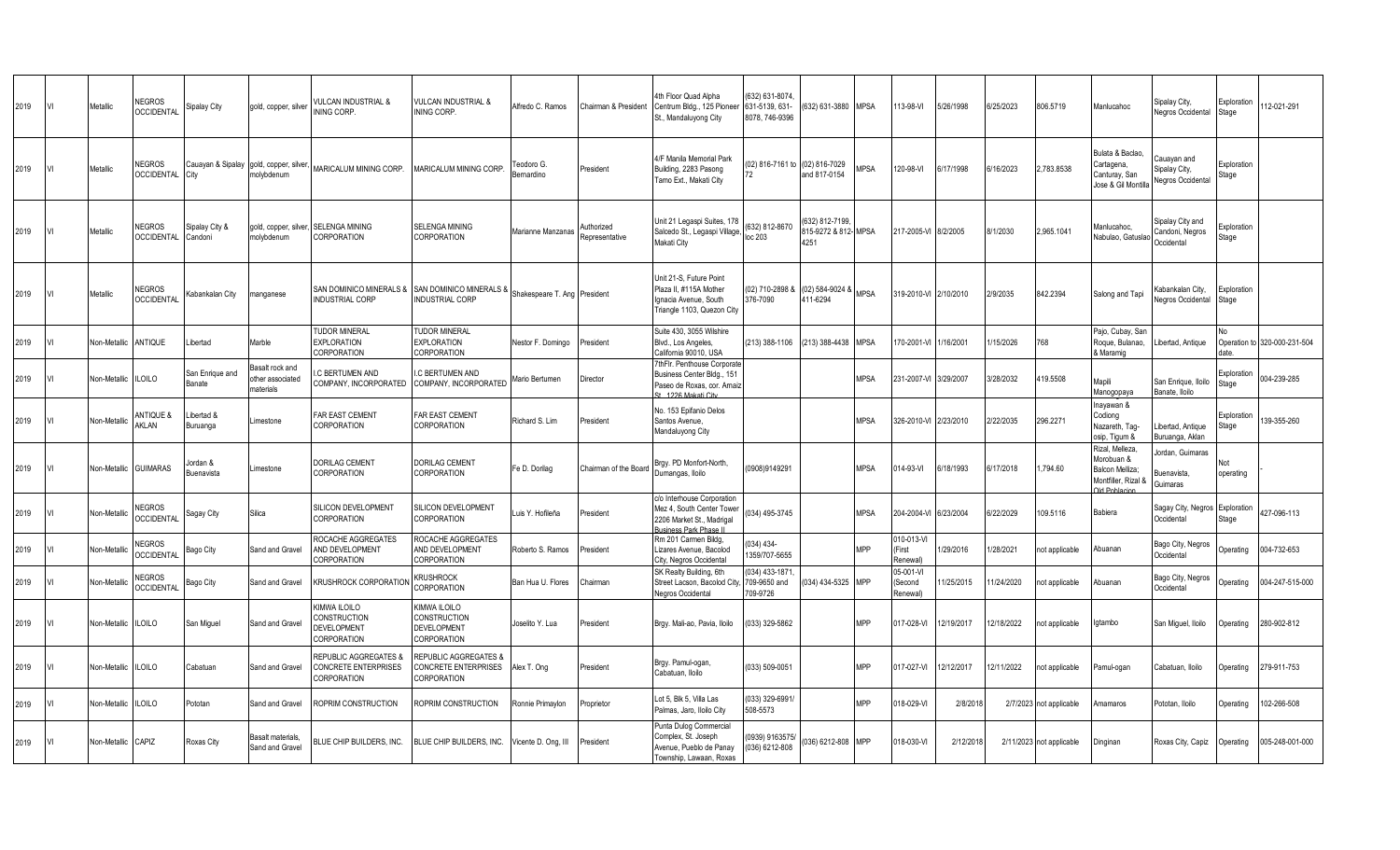| 2019 |    | Metallic     | <b>NEGROS</b><br><b>OCCIDENTAL</b> | Sipalay City                     | gold, copper, silver                                  | <b>VULCAN INDUSTRIAL &amp;</b><br>INING CORP.                       | <b>VULCAN INDUSTRIAL &amp;</b><br>INING CORP.                                  | Alfredo C. Ramos             | Chairman & President         | 4th Floor Quad Alpha<br>Centrum Bldg., 125 Pioneer<br>St., Mandaluyong City                                          | (632) 631-8074<br>631-5139, 631-<br>8078, 746-9396 | 632) 631-3880 MPSA                            |             | 13-98-VI                        | 5/26/1998  | 6/25/2023  | 806.5719                 | Manlucahoc                                                                                    | Sipalay City,<br><b>Negros Occidental</b>                | Exploration<br>Stage | 12-021-291                   |
|------|----|--------------|------------------------------------|----------------------------------|-------------------------------------------------------|---------------------------------------------------------------------|--------------------------------------------------------------------------------|------------------------------|------------------------------|----------------------------------------------------------------------------------------------------------------------|----------------------------------------------------|-----------------------------------------------|-------------|---------------------------------|------------|------------|--------------------------|-----------------------------------------------------------------------------------------------|----------------------------------------------------------|----------------------|------------------------------|
| 2019 | VI | Metallic     | <b>NEGROS</b><br><b>OCCIDENTAL</b> | City                             | Cauayan & Sipalay gold, copper, silver,<br>nolybdenum | MARICALUM MINING CORP.                                              | MARICALUM MINING CORP.                                                         | Teodoro G<br>Bernardino      | President                    | 4/F Manila Memorial Park<br>Building, 2283 Pasong<br>Tamo Ext., Makati City                                          | 02) 816-7161 to<br>72                              | (02) 816-7029<br>and 817-0154                 | <b>MPSA</b> | 120-98-VI                       | 6/17/1998  | 6/16/2023  | 2.783.8538               | Bulata & Baclao,<br>Cartagena,<br>Canturay, San<br>Jose & Gil Montilla                        | Cauayan and<br>Sipalay City,<br><b>Negros Occidental</b> | Exploration<br>Stage |                              |
| 2019 |    | Metallic     | <b>NEGROS</b><br><b>OCCIDENTAL</b> | Sipalay City &<br>Candoni        | gold, copper, silver,<br>molybdenum                   | <b>SELENGA MINING</b><br><b>CORPORATION</b>                         | <b>SELENGA MINING</b><br>CORPORATION                                           | Marianne Manzanas            | Authorized<br>Representative | Unit 21 Legaspi Suites, 178<br>Salcedo St., Legaspi Village,<br>Makati City                                          | (632) 812-8670<br>loc 203                          | 632) 812-7199<br>315-9272 & 812- MPSA<br>4251 |             | 17-2005-VI                      | 8/2/2005   | 8/1/2030   | 2,965.1041               | Manlucahoc,<br>Nabulao, Gatuslad                                                              | Sipalay City and<br>Candoni, Negros<br>Occidental        | Exploration<br>Stage |                              |
| 2019 |    | Metallic     | <b>NEGROS</b><br><b>OCCIDENTAL</b> | Kabankalan City                  | nanganese                                             | SAN DOMINICO MINERALS & SAN DOMINICO MINERALS &<br>INDUSTRIAL CORP  | INDUSTRIAL CORP                                                                | Shakespeare T. Ang President |                              | Unit 21-S. Future Point<br>Plaza II, #115A Mother<br>Ignacia Avenue, South<br>Triangle 1103, Quezon City             | (02) 710-2898 8<br>376-7090                        | (02) 584-9024 &<br>411-6294                   | <b>MPSA</b> | 319-2010-VI 2/10/2010           |            | 2/9/2035   | 842.2394                 | Salong and Tapi                                                                               | Kabankalan City,<br><b>Jegros Occidental</b>             | Exploration<br>Stage |                              |
| 2019 |    | Non-Metallic | ANTIQUE                            | Libertad                         | Marble                                                | <b>TUDOR MINERAL</b><br><b>EXPLORATION</b><br>CORPORATION           | <b>TUDOR MINERAL</b><br><b>EXPLORATION</b><br>CORPORATION                      | Nestor F. Domingo            | President                    | Suite 430, 3055 Wilshire<br>Blvd., Los Angeles,<br>California 90010, USA                                             | (213) 388-1106                                     | (213) 388-4438                                | <b>MPSA</b> | 70-2001-VI                      | 1/16/2001  | 1/15/2026  | 768                      | Pajo, Cubay, San<br>Roque, Bulanao,<br>& Maramig                                              | Libertad, Antique                                        | date                 | Operation to 320-000-231-504 |
| 2019 |    | Non-Metallic | <b>ILOILO</b>                      | San Enrique and<br><b>Banate</b> | Basalt rock and<br>ther associated<br>materials       | C BERTUMEN AND<br>COMPANY, INCORPORATED                             | C BERTUMEN AND<br>COMPANY, INCORPORATED                                        | Mario Bertumen               | Director                     | 7thFlr. Penthouse Corporate<br>Business Center Bldg., 151<br>Paseo de Roxas, cor. Arnaiz<br>31 1226 Makati City      |                                                    |                                               | <b>MPSA</b> | 231-2007-VI                     | 3/29/2007  | 3/28/2032  | 419.5508                 | Mapili<br>Manogopaya                                                                          | San Enrique, Iloilo<br>Banate, Iloilo                    | Exploration<br>Stage | 004-239-285                  |
| 2019 |    | Non-Metallio | <b>ANTIQUE &amp;</b><br>AKLAN      | Libertad &<br>Buruanga           | Limestone                                             | <b>FAR EAST CEMENT</b><br>CORPORATION                               | <b>FAR EAST CEMENT</b><br>CORPORATION                                          | Richard S. Lim               | President                    | No. 153 Epifanio Delos<br>Santos Avenue,<br>Mandaluyong City                                                         |                                                    |                                               | <b>MPSA</b> | 326-2010-VI                     | 2/23/2010  | 2/22/2035  | 296.2271                 | lnayawan &<br>Codiong<br>Nazareth, Tag-<br>osip, Tigum &                                      | ibertad, Antique<br>Buruanga, Aklan                      | Exploration<br>Stage | 39-355-260                   |
| 2019 |    | Non-Metallic | <b>GUIMARAS</b>                    | Jordan &<br>Buenavista           | Limestone                                             | <b>DORILAG CEMENT</b><br><b>CORPORATION</b>                         | <b>DORILAG CEMENT</b><br>CORPORATION                                           | Fe D. Dorilag                | Chairman of the Board        | Brgy. PD Monfort-North,<br>Dumangas, Iloilo                                                                          | 0908)9149291                                       |                                               | <b>MPSA</b> | 14-93-VI                        | 6/18/1993  | 6/17/2018  | 1,794.60                 | Rizal, Melleza.<br>Morobuan &<br>Balcon Melliza;<br>Montfiller, Rizal &<br><b>Id Poblacio</b> | lordan, Guimaras<br>Buenavista,<br>Guimaras              | Not<br>operating     |                              |
| 2019 |    | Non-Metallio | <b>NEGROS</b><br><b>OCCIDENTAL</b> | Sagay City                       | Silica                                                | <b>SILICON DEVELOPMENT</b><br><b>CORPORATION</b>                    | SILICON DEVELOPMENT<br>CORPORATION                                             | Luis Y. Hofileña             | President                    | c/o Interhouse Corporation<br>Mez 4, South Center Tower<br>2206 Market St., Madrigal<br><b>Business Park Phase I</b> | 034) 495-3745                                      |                                               | <b>MPSA</b> | 04-2004-VI                      | 6/23/2004  | 6/22/2029  | 109.5116                 | Babiera                                                                                       | Sagay City, Negros Exploration<br>Occidental             | Stage                | 427-096-113                  |
| 2019 |    | Non-Metallio | <b>NEGROS</b><br><b>OCCIDENTAL</b> | Bago City                        | Sand and Gravel                                       | ROCACHE AGGREGATES<br><b>ND DEVELOPMENT</b><br><b>CORPORATION</b>   | ROCACHE AGGREGATES<br>AND DEVELOPMENT<br>CORPORATION                           | Roberto S. Ramos             | President                    | Rm 201 Carmen Bildg,<br>Lizares Avenue, Bacolod<br>City, Negros Occidental                                           | 034) 434-<br>1359/707-5655                         |                                               | <b>MPP</b>  | 10-013-VI<br>First<br>Renewal)  | 1/29/2016  | 1/28/2021  | not applicable           | Abuanan                                                                                       | Bago City, Negros<br>Occidental                          | Operating            | 004-732-653                  |
| 2019 |    | Non-Metallio | <b>NEGROS</b><br><b>OCCIDENTAI</b> | Bago City                        | Sand and Gravel                                       | <b>KRUSHROCK CORPORATIO</b>                                         | <b>KRUSHROCK</b><br>CORPORATION                                                | Ban Hua U. Flores            | Chairman                     | SK Realty Building, 6th<br>Street Lacson, Bacolod City<br>Negros Occidental                                          | (034) 433-1871<br>709-9650 and<br>709-9726         | 034) 434-5325 MPP                             |             | 05-001-VI<br>Second<br>Renewal) | 1/25/2015  | 1/24/2020  | not applicable           | Abuanan                                                                                       | Bago City, Negros<br>Occidental                          | Operating            | 004-247-515-000              |
| 2019 |    | Non-Metallic | <b>ILOILO</b>                      | San Miguel                       | Sand and Gravel                                       | KIMWA ILOILO<br>CONSTRUCTION<br>DEVELOPMENT<br><b>CORPORATION</b>   | KIMWA ILOILO<br>CONSTRUCTION<br><b>DEVELOPMENT</b><br>CORPORATION              | Joselito Y. Lua              | President                    | Brgy. Mali-ao, Pavia, Iloilo                                                                                         | (033) 329-5862                                     |                                               | <b>MPP</b>  | 17-028-VI                       | 12/19/2017 | 12/18/2022 | not applicable           | gtambo                                                                                        | San Miguel, Iloilo                                       | Operating            | 280-902-812                  |
| 2019 |    | Non-Metallic | <b>ILOILO</b>                      | Cabatuan                         | Sand and Gravel                                       | <b>REPUBLIC AGGREGATES 8</b><br>CONCRETE ENTERPRISES<br>CORPORATION | <b>REPUBLIC AGGREGATES &amp;</b><br><b>CONCRETE ENTERPRISES</b><br>CORPORATION | Alex T. Ong                  | President                    | Brgy. Pamul-ogan,<br>Cabatuan, Iloilo                                                                                | (033) 509-0051                                     |                                               | <b>MPP</b>  | 17-027-VI                       | 12/12/2017 | 12/11/2022 | not applicable           | Pamul-ogan                                                                                    | Cabatuan, Iloilo                                         | Operating            | 279-911-753                  |
| 2019 |    | Non-Metallic | <b>ILOILO</b>                      | Pototan                          | Sand and Gravel                                       | ROPRIM CONSTRUCTION                                                 | ROPRIM CONSTRUCTION                                                            | Ronnie Primaylon             | Proprietor                   | Lot 5, Blk 5, Villa Las<br>Palmas, Jaro, Iloilo City                                                                 | (033) 329-6991<br>508-5573                         |                                               | <b>MPP</b>  | 18-029-V                        | 2/8/201    |            | 2/7/2023 not applicable  | Amamaros                                                                                      | Pototan, Iloilo                                          | Operating            | 02-266-508                   |
| 2019 |    | Non-Metallic | CAPIZ                              | Roxas City                       | 3asalt materials,<br>Sand and Gravel                  | <b>BLUE CHIP BUILDERS, INC.</b>                                     | BLUE CHIP BUILDERS, INC.                                                       | Vicente D. Ong, III          | President                    | Punta Dulog Commercial<br>Complex, St. Joseph<br>Avenue, Pueblo de Panay<br>Township, Lawaan, Roxas                  | (0939) 9163575<br>(036) 6212-808                   | 036) 6212-808 MPP                             |             | 18-030-VI                       | 2/12/2018  |            | 2/11/2023 not applicable | Dinginan                                                                                      | Roxas City, Capiz                                        | Operating            | 005-248-001-000              |